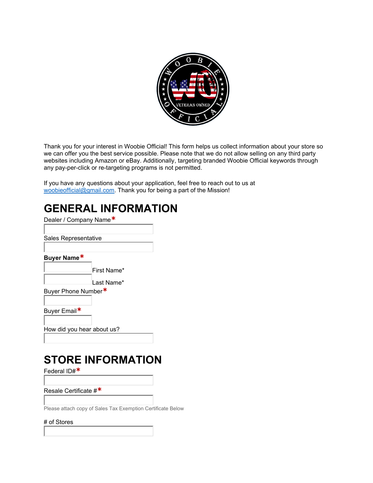

Thank you for your interest in Woobie Official! This form helps us collect information about your store so we can offer you the best service possible. Please note that we do not allow selling on any third party websites including Amazon or eBay. Additionally, targeting branded Woobie Official keywords through any pay-per-click or re-targeting programs is not permitted.

If you have any questions about your application, feel free to reach out to us at woobieofficial@gmail.com. Thank you for being a part of the Mission!

### **GENERAL INFORMATION**

Dealer / Company Name**\*** 

Sales Representative

**Buyer Name\***

| First Name* |
|-------------|
| 'Last Name* |

Buyer Phone Number**\*** 

Buyer Email**\*** 

How did you hear about us?

# **STORE INFORMATION**

Federal ID#**\*** 

Resale Certificate #**\*** 

Please attach copy of Sales Tax Exemption Certificate Below

#### # of Stores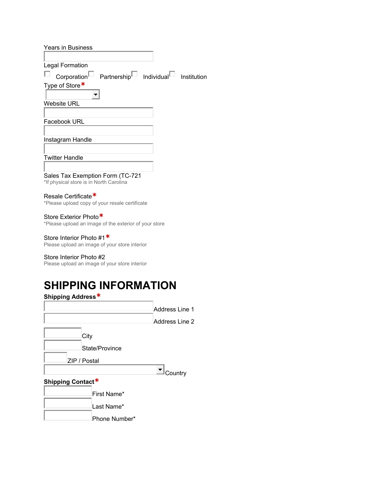| <b>Years in Business</b>                                                        |             |
|---------------------------------------------------------------------------------|-------------|
|                                                                                 |             |
| <b>Legal Formation</b>                                                          |             |
| $\text{Corporation}^{\square}$ Partnership $^{\square}$ Individual $^{\square}$ | Institution |
| Type of Store*                                                                  |             |
|                                                                                 |             |
| <b>Website URL</b>                                                              |             |
|                                                                                 |             |
| Facebook URL                                                                    |             |
|                                                                                 |             |
| Instagram Handle                                                                |             |
|                                                                                 |             |
| <b>Twitter Handle</b>                                                           |             |
|                                                                                 |             |
| Sales Tax Exemption Form (TC-721<br>*If physical store is in North Carolina     |             |

### Resale Certificate**\***

\*Please upload copy of your resale certificate

#### Store Exterior Photo**\***

\*Please upload an image of the exterior of your store

#### Store Interior Photo #1**\***

Please upload an image of your store interior

#### Store Interior Photo #2

Please upload an image of your store interior

# **SHIPPING INFORMATION**

| Shipping Address* |                |                |
|-------------------|----------------|----------------|
|                   |                | Address Line 1 |
|                   |                | Address Line 2 |
| City              |                |                |
|                   | State/Province |                |
| ZIP / Postal      |                |                |
|                   |                | Country        |
| Shipping Contact* |                |                |
|                   | First Name*    |                |
|                   | Last Name*     |                |
|                   | Phong Number*  |                |

Phone Number\*